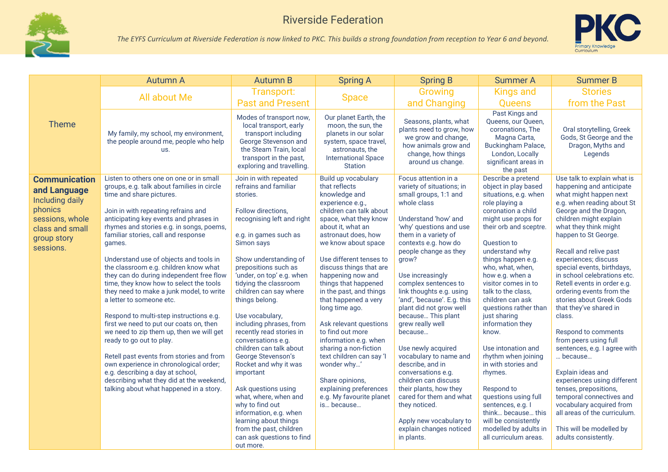



|                                      | <b>Autumn A</b>                                                                                                   | <b>Autumn B</b>                                                                                                                                                                   | <b>Spring A</b>                                                                                                                                                 | <b>Spring B</b>                                                                                                                             | <b>Summer A</b>                                                                                                                                       | <b>Summer B</b>                                                                     |
|--------------------------------------|-------------------------------------------------------------------------------------------------------------------|-----------------------------------------------------------------------------------------------------------------------------------------------------------------------------------|-----------------------------------------------------------------------------------------------------------------------------------------------------------------|---------------------------------------------------------------------------------------------------------------------------------------------|-------------------------------------------------------------------------------------------------------------------------------------------------------|-------------------------------------------------------------------------------------|
|                                      | All about Me                                                                                                      | Transport:                                                                                                                                                                        | <b>Space</b>                                                                                                                                                    | Growing                                                                                                                                     | <b>Kings and</b>                                                                                                                                      | <b>Stories</b>                                                                      |
|                                      |                                                                                                                   | <b>Past and Present</b>                                                                                                                                                           |                                                                                                                                                                 | and Changing                                                                                                                                | <b>Queens</b>                                                                                                                                         | from the Past                                                                       |
| <b>Theme</b>                         | My family, my school, my environment,<br>the people around me, people who help<br>us.                             | Modes of transport now,<br>local transport, early<br>transport including<br>George Stevenson and<br>the Steam Train, local<br>transport in the past,<br>exploring and travelling. | Our planet Earth, the<br>moon, the sun, the<br>planets in our solar<br>system, space travel,<br>astronauts, the<br><b>International Space</b><br><b>Station</b> | Seasons, plants, what<br>plants need to grow, how<br>we grow and change,<br>how animals grow and<br>change, how things<br>around us change. | Past Kings and<br>Queens, our Queen,<br>coronations, The<br>Magna Carta,<br>Buckingham Palace,<br>London, Locally<br>significant areas in<br>the past | Oral storytelling, Greek<br>Gods, St George and the<br>Dragon, Myths and<br>Legends |
| <b>Communication</b><br>and Language | Listen to others one on one or in small<br>groups, e.g. talk about families in circle<br>time and share pictures. | Join in with repeated<br>refrains and familiar<br>stories.                                                                                                                        | Build up vocabulary<br>that reflects<br>knowledge and                                                                                                           | Focus attention in a<br>variety of situations; in<br>small groups, 1:1 and                                                                  | Describe a pretend<br>object in play based<br>situations, e.g. when                                                                                   | Use talk to explain what is<br>happening and anticipate<br>what might happen next   |
| <b>Including daily</b>               |                                                                                                                   |                                                                                                                                                                                   | experience e.g.,                                                                                                                                                | whole class                                                                                                                                 | role playing a                                                                                                                                        | e.g. when reading about St                                                          |
| phonics<br>sessions, whole           | Join in with repeating refrains and<br>anticipating key events and phrases in                                     | Follow directions,<br>recognising left and right                                                                                                                                  | children can talk about<br>space, what they know                                                                                                                | Understand 'how' and                                                                                                                        | coronation a child<br>might use props for                                                                                                             | George and the Dragon,<br>children might explain                                    |
| class and small                      | rhymes and stories e.g. in songs, poems,                                                                          |                                                                                                                                                                                   | about it, what an                                                                                                                                               | 'why' questions and use                                                                                                                     | their orb and sceptre.                                                                                                                                | what they think might                                                               |
| group story                          | familiar stories, call and response                                                                               | e.g. in games such as                                                                                                                                                             | astronaut does, how                                                                                                                                             | them in a variety of                                                                                                                        |                                                                                                                                                       | happen to St George.                                                                |
| sessions.                            | games.                                                                                                            | Simon says                                                                                                                                                                        | we know about space                                                                                                                                             | contexts e.g. how do<br>people change as they                                                                                               | Question to<br>understand why                                                                                                                         | Recall and relive past                                                              |
|                                      | Understand use of objects and tools in                                                                            | Show understanding of                                                                                                                                                             | Use different tenses to                                                                                                                                         | grow?                                                                                                                                       | things happen e.g.                                                                                                                                    | experiences; discuss                                                                |
|                                      | the classroom e.g. children know what                                                                             | prepositions such as                                                                                                                                                              | discuss things that are                                                                                                                                         |                                                                                                                                             | who, what, when,                                                                                                                                      | special events, birthdays,                                                          |
|                                      | they can do during independent free flow<br>time, they know how to select the tools                               | 'under, on top' e.g. when<br>tidying the classroom                                                                                                                                | happening now and<br>things that happened                                                                                                                       | Use increasingly<br>complex sentences to                                                                                                    | how e.g. when a<br>visitor comes in to                                                                                                                | in school celebrations etc.<br>Retell events in order e.g.                          |
|                                      | they need to make a junk model, to write                                                                          | children can say where                                                                                                                                                            | in the past, and things                                                                                                                                         | link thoughts e.g. using                                                                                                                    | talk to the class,                                                                                                                                    | ordering events from the                                                            |
|                                      | a letter to someone etc.                                                                                          | things belong.                                                                                                                                                                    | that happened a very                                                                                                                                            | 'and', 'because'. E.g. this                                                                                                                 | children can ask                                                                                                                                      | stories about Greek Gods                                                            |
|                                      | Respond to multi-step instructions e.g.                                                                           | Use vocabulary,                                                                                                                                                                   | long time ago.                                                                                                                                                  | plant did not grow well<br>because This plant                                                                                               | questions rather than<br>just sharing                                                                                                                 | that they've shared in<br>class.                                                    |
|                                      | first we need to put our coats on, then                                                                           | including phrases, from                                                                                                                                                           | Ask relevant questions                                                                                                                                          | grew really well                                                                                                                            | information they                                                                                                                                      |                                                                                     |
|                                      | we need to zip them up, then we will get<br>ready to go out to play.                                              | recently read stories in<br>conversations e.g.                                                                                                                                    | to find out more<br>information e.g. when                                                                                                                       | because                                                                                                                                     | know.                                                                                                                                                 | Respond to comments<br>from peers using full                                        |
|                                      |                                                                                                                   | children can talk about                                                                                                                                                           | sharing a non-fiction                                                                                                                                           | Use newly acquired                                                                                                                          | Use intonation and                                                                                                                                    | sentences, e.g. I agree with                                                        |
|                                      | Retell past events from stories and from                                                                          | George Stevenson's                                                                                                                                                                | text children can say 'l                                                                                                                                        | vocabulary to name and                                                                                                                      | rhythm when joining                                                                                                                                   | because                                                                             |
|                                      | own experience in chronological order;<br>e.g. describing a day at school,                                        | Rocket and why it was<br>important                                                                                                                                                | wonder why'                                                                                                                                                     | describe, and in<br>conversations e.g.                                                                                                      | in with stories and<br>rhymes.                                                                                                                        | Explain ideas and                                                                   |
|                                      | describing what they did at the weekend,                                                                          |                                                                                                                                                                                   | Share opinions,                                                                                                                                                 | children can discuss                                                                                                                        |                                                                                                                                                       | experiences using different                                                         |
|                                      | talking about what happened in a story.                                                                           | Ask questions using                                                                                                                                                               | explaining preferences                                                                                                                                          | their plants, how they                                                                                                                      | Respond to                                                                                                                                            | tenses, prepositions,                                                               |
|                                      |                                                                                                                   | what, where, when and<br>why to find out                                                                                                                                          | e.g. My favourite planet<br>is because                                                                                                                          | cared for them and what<br>they noticed.                                                                                                    | questions using full<br>sentences, e.g. I                                                                                                             | temporal connectives and<br>vocabulary acquired from                                |
|                                      |                                                                                                                   | information, e.g. when                                                                                                                                                            |                                                                                                                                                                 |                                                                                                                                             | think because this                                                                                                                                    | all areas of the curriculum.                                                        |
|                                      |                                                                                                                   | learning about things                                                                                                                                                             |                                                                                                                                                                 | Apply new vocabulary to                                                                                                                     | will be consistently                                                                                                                                  |                                                                                     |
|                                      |                                                                                                                   | from the past, children<br>can ask questions to find                                                                                                                              |                                                                                                                                                                 | explain changes noticed<br>in plants.                                                                                                       | modelled by adults in<br>all curriculum areas.                                                                                                        | This will be modelled by<br>adults consistently.                                    |
|                                      |                                                                                                                   | out more.                                                                                                                                                                         |                                                                                                                                                                 |                                                                                                                                             |                                                                                                                                                       |                                                                                     |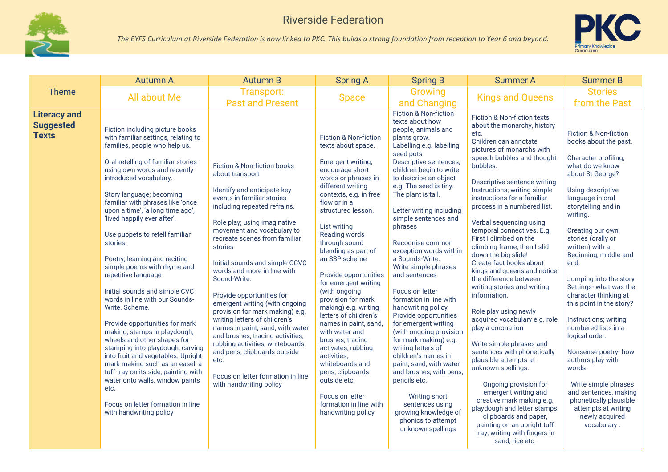



|                                                         | <b>Autumn A</b>                                                                                                                                                                                                                                                                                                                                                                                                                                                                                                                                                                                                                                                                                                                                                                                                                                                                                                                       | <b>Autumn B</b>                                                                                                                                                                                                                                                                                                                                                                                                                                                                                                                                                                                                                                                                              | <b>Spring A</b>                                                                                                                                                                                                                                                                                                                                                                                                                                                                                                                                                                                                                                                             | <b>Spring B</b>                                                                                                                                                                                                                                                                                                                                                                                                                                                                                                                                                                                                                                                                                                                                                                                                                              | <b>Summer A</b>                                                                                                                                                                                                                                                                                                                                                                                                                                                                                                                                                                                                                                                                                                                                                                                                                                                                                                                                                                                 | <b>Summer B</b>                                                                                                                                                                                                                                                                                                                                                                                                                                                                                                                                                                                                                                             |
|---------------------------------------------------------|---------------------------------------------------------------------------------------------------------------------------------------------------------------------------------------------------------------------------------------------------------------------------------------------------------------------------------------------------------------------------------------------------------------------------------------------------------------------------------------------------------------------------------------------------------------------------------------------------------------------------------------------------------------------------------------------------------------------------------------------------------------------------------------------------------------------------------------------------------------------------------------------------------------------------------------|----------------------------------------------------------------------------------------------------------------------------------------------------------------------------------------------------------------------------------------------------------------------------------------------------------------------------------------------------------------------------------------------------------------------------------------------------------------------------------------------------------------------------------------------------------------------------------------------------------------------------------------------------------------------------------------------|-----------------------------------------------------------------------------------------------------------------------------------------------------------------------------------------------------------------------------------------------------------------------------------------------------------------------------------------------------------------------------------------------------------------------------------------------------------------------------------------------------------------------------------------------------------------------------------------------------------------------------------------------------------------------------|----------------------------------------------------------------------------------------------------------------------------------------------------------------------------------------------------------------------------------------------------------------------------------------------------------------------------------------------------------------------------------------------------------------------------------------------------------------------------------------------------------------------------------------------------------------------------------------------------------------------------------------------------------------------------------------------------------------------------------------------------------------------------------------------------------------------------------------------|-------------------------------------------------------------------------------------------------------------------------------------------------------------------------------------------------------------------------------------------------------------------------------------------------------------------------------------------------------------------------------------------------------------------------------------------------------------------------------------------------------------------------------------------------------------------------------------------------------------------------------------------------------------------------------------------------------------------------------------------------------------------------------------------------------------------------------------------------------------------------------------------------------------------------------------------------------------------------------------------------|-------------------------------------------------------------------------------------------------------------------------------------------------------------------------------------------------------------------------------------------------------------------------------------------------------------------------------------------------------------------------------------------------------------------------------------------------------------------------------------------------------------------------------------------------------------------------------------------------------------------------------------------------------------|
| <b>Theme</b>                                            | All about Me                                                                                                                                                                                                                                                                                                                                                                                                                                                                                                                                                                                                                                                                                                                                                                                                                                                                                                                          | Transport:<br><b>Past and Present</b>                                                                                                                                                                                                                                                                                                                                                                                                                                                                                                                                                                                                                                                        | <b>Space</b>                                                                                                                                                                                                                                                                                                                                                                                                                                                                                                                                                                                                                                                                | Growing<br>and Changing                                                                                                                                                                                                                                                                                                                                                                                                                                                                                                                                                                                                                                                                                                                                                                                                                      | <b>Kings and Queens</b>                                                                                                                                                                                                                                                                                                                                                                                                                                                                                                                                                                                                                                                                                                                                                                                                                                                                                                                                                                         | <b>Stories</b><br>from the Past                                                                                                                                                                                                                                                                                                                                                                                                                                                                                                                                                                                                                             |
| <b>Literacy and</b><br><b>Suggested</b><br><b>Texts</b> | Fiction including picture books<br>with familiar settings, relating to<br>families, people who help us.<br>Oral retelling of familiar stories<br>using own words and recently<br>introduced vocabulary.<br>Story language; becoming<br>familiar with phrases like 'once<br>upon a time', 'a long time ago',<br>'lived happily ever after'.<br>Use puppets to retell familiar<br>stories.<br>Poetry; learning and reciting<br>simple poems with rhyme and<br>repetitive language<br>Initial sounds and simple CVC<br>words in line with our Sounds-<br>Write. Scheme.<br>Provide opportunities for mark<br>making; stamps in playdough,<br>wheels and other shapes for<br>stamping into playdough, carving<br>into fruit and vegetables. Upright<br>mark making such as an easel, a<br>tuff tray on its side, painting with<br>water onto walls, window paints<br>etc.<br>Focus on letter formation in line<br>with handwriting policy | Fiction & Non-fiction books<br>about transport<br>Identify and anticipate key<br>events in familiar stories<br>including repeated refrains.<br>Role play; using imaginative<br>movement and vocabulary to<br>recreate scenes from familiar<br>stories<br>Initial sounds and simple CCVC<br>words and more in line with<br>Sound-Write.<br>Provide opportunities for<br>emergent writing (with ongoing<br>provision for mark making) e.g.<br>writing letters of children's<br>names in paint, sand, with water<br>and brushes, tracing activities,<br>rubbing activities, whiteboards<br>and pens, clipboards outside<br>etc.<br>Focus on letter formation in line<br>with handwriting policy | <b>Fiction &amp; Non-fiction</b><br>texts about space.<br>Emergent writing;<br>encourage short<br>words or phrases in<br>different writing<br>contexts, e.g. in free<br>flow or in a<br>structured lesson.<br>List writing<br>Reading words<br>through sound<br>blending as part of<br>an SSP scheme<br>Provide opportunities<br>for emergent writing<br>(with ongoing<br>provision for mark<br>making) e.g. writing<br>letters of children's<br>names in paint, sand,<br>with water and<br>brushes, tracing<br>activates, rubbing<br>activities,<br>whiteboards and<br>pens, clipboards<br>outside etc.<br>Focus on letter<br>formation in line with<br>handwriting policy | <b>Fiction &amp; Non-fiction</b><br>texts about how<br>people, animals and<br>plants grow.<br>Labelling e.g. labelling<br>seed pots<br>Descriptive sentences;<br>children begin to write<br>to describe an object<br>e.g. The seed is tiny.<br>The plant is tall.<br>Letter writing including<br>simple sentences and<br>phrases<br>Recognise common<br>exception words within<br>a Sounds-Write.<br>Write simple phrases<br>and sentences<br>Focus on letter<br>formation in line with<br>handwriting policy<br>Provide opportunities<br>for emergent writing<br>(with ongoing provision<br>for mark making) e.g.<br>writing letters of<br>children's names in<br>paint, sand, with water<br>and brushes, with pens,<br>pencils etc.<br>Writing short<br>sentences using<br>growing knowledge of<br>phonics to attempt<br>unknown spellings | Fiction & Non-fiction texts<br>about the monarchy, history<br>etc.<br>Children can annotate<br>pictures of monarchs with<br>speech bubbles and thought<br>bubbles.<br>Descriptive sentence writing<br>Instructions; writing simple<br>instructions for a familiar<br>process in a numbered list.<br>Verbal sequencing using<br>temporal connectives. E.g.<br>First I climbed on the<br>climbing frame, then I slid<br>down the big slide!<br>Create fact books about<br>kings and queens and notice<br>the difference between<br>writing stories and writing<br>information.<br>Role play using newly<br>acquired vocabulary e.g. role<br>play a coronation<br>Write simple phrases and<br>sentences with phonetically<br>plausible attempts at<br>unknown spellings.<br>Ongoing provision for<br>emergent writing and<br>creative mark making e.g.<br>playdough and letter stamps,<br>clipboards and paper,<br>painting on an upright tuff<br>tray, writing with fingers in<br>sand, rice etc. | Fiction & Non-fiction<br>books about the past.<br>Character profiling;<br>what do we know<br>about St George?<br>Using descriptive<br>language in oral<br>storytelling and in<br>writing.<br>Creating our own<br>stories (orally or<br>written) with a<br>Beginning, middle and<br>end.<br>Jumping into the story<br>Settings- what was the<br>character thinking at<br>this point in the story?<br>Instructions; writing<br>numbered lists in a<br>logical order.<br>Nonsense poetry- how<br>authors play with<br>words<br>Write simple phrases<br>and sentences, making<br>phonetically plausible<br>attempts at writing<br>newly acquired<br>vocabulary. |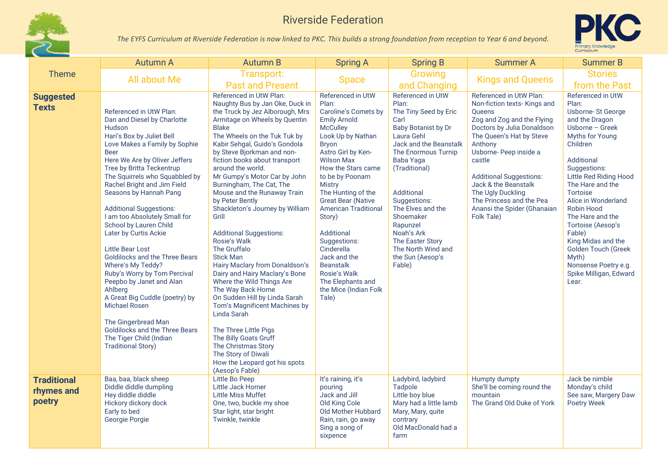



|                                            | <b>Autumn A</b>                                                                                                                                                                                                                                                                                                                                                                                                                                                                                                                                                                                                                                                                                                                                                  | <b>Autumn B</b>                                                                                                                                                                                                                                                                                                                                                                                                                                                                                                                                                                                                                                                                                                                                                                                                                                                                                                | <b>Spring A</b>                                                                                                                                                                                                                                                                                                                                                                                                                                                                                  | <b>Spring B</b>                                                                                                                                                                                                                                                                                                                                          | <b>Summer A</b>                                                                                                                                                                                                                                                                                                                                                         | <b>Summer B</b>                                                                                                                                                                                                                                                                                                                                                                                                                    |
|--------------------------------------------|------------------------------------------------------------------------------------------------------------------------------------------------------------------------------------------------------------------------------------------------------------------------------------------------------------------------------------------------------------------------------------------------------------------------------------------------------------------------------------------------------------------------------------------------------------------------------------------------------------------------------------------------------------------------------------------------------------------------------------------------------------------|----------------------------------------------------------------------------------------------------------------------------------------------------------------------------------------------------------------------------------------------------------------------------------------------------------------------------------------------------------------------------------------------------------------------------------------------------------------------------------------------------------------------------------------------------------------------------------------------------------------------------------------------------------------------------------------------------------------------------------------------------------------------------------------------------------------------------------------------------------------------------------------------------------------|--------------------------------------------------------------------------------------------------------------------------------------------------------------------------------------------------------------------------------------------------------------------------------------------------------------------------------------------------------------------------------------------------------------------------------------------------------------------------------------------------|----------------------------------------------------------------------------------------------------------------------------------------------------------------------------------------------------------------------------------------------------------------------------------------------------------------------------------------------------------|-------------------------------------------------------------------------------------------------------------------------------------------------------------------------------------------------------------------------------------------------------------------------------------------------------------------------------------------------------------------------|------------------------------------------------------------------------------------------------------------------------------------------------------------------------------------------------------------------------------------------------------------------------------------------------------------------------------------------------------------------------------------------------------------------------------------|
| <b>Theme</b>                               | All about Me                                                                                                                                                                                                                                                                                                                                                                                                                                                                                                                                                                                                                                                                                                                                                     | Transport:<br><b>Past and Present</b>                                                                                                                                                                                                                                                                                                                                                                                                                                                                                                                                                                                                                                                                                                                                                                                                                                                                          | <b>Space</b>                                                                                                                                                                                                                                                                                                                                                                                                                                                                                     | Growing<br>and Changing                                                                                                                                                                                                                                                                                                                                  | <b>Kings and Queens</b>                                                                                                                                                                                                                                                                                                                                                 | <b>Stories</b><br>from the Past                                                                                                                                                                                                                                                                                                                                                                                                    |
| <b>Suggested</b><br><b>Texts</b>           | Referenced in UtW Plan:<br>Dan and Diesel by Charlotte<br>Hudson<br>Hari's Box by Juliet Bell<br>Love Makes a Family by Sophie<br><b>Beer</b><br>Here We Are by Oliver Jeffers<br>Tree by Britta Teckentrup<br>The Squirrels who Squabbled by<br>Rachel Bright and Jim Field<br>Seasons by Hannah Pang<br><b>Additional Suggestions:</b><br>I am too Absolutely Small for<br>School by Lauren Child<br>Later by Curtis Ackie<br><b>Little Bear Lost</b><br>Goldilocks and the Three Bears<br>Where's My Teddy?<br>Ruby's Worry by Tom Percival<br>Peepbo by Janet and Alan<br>Ahlberg<br>A Great Big Cuddle (poetry) by<br><b>Michael Rosen</b><br>The Gingerbread Man<br>Goldilocks and the Three Bears<br>The Tiger Child (Indian<br><b>Traditional Story)</b> | Referenced in UtW Plan:<br>Naughty Bus by Jan Oke, Duck in<br>the Truck by Jez Alborough, Mrs<br>Armitage on Wheels by Quentin<br><b>Blake</b><br>The Wheels on the Tuk Tuk by<br>Kabir Sehgal, Guido's Gondola<br>by Steve Bjorkman and non-<br>fiction books about transport<br>around the world.<br>Mr Gumpy's Motor Car by John<br>Burningham, The Cat, The<br>Mouse and the Runaway Train<br>by Peter Bently<br>Shackleton's Journey by William<br>Grill<br><b>Additional Suggestions:</b><br>Rosie's Walk<br>The Gruffalo<br><b>Stick Man</b><br>Hairy Maclary from Donaldson's<br>Dairy and Hairy Maclary's Bone<br>Where the Wild Things Are<br>The Way Back Home<br>On Sudden Hill by Linda Sarah<br>Tom's Magnificent Machines by<br>Linda Sarah<br>The Three Little Pigs<br>The Billy Goats Gruff<br>The Christmas Story<br>The Story of Diwali<br>How the Leopard got his spots<br>(Aesop's Fable) | <b>Referenced in UtW</b><br>Plan:<br>Caroline's Comets by<br><b>Emily Arnold</b><br><b>McCulley</b><br>Look Up by Nathan<br><b>Bryon</b><br>Astro Girl by Ken-<br><b>Wilson Max</b><br>How the Stars came<br>to be by Poonam<br><b>Mistry</b><br>The Hunting of the<br><b>Great Bear (Native</b><br><b>American Traditional</b><br>Story)<br>Additional<br>Suggestions:<br>Cinderella<br>Jack and the<br><b>Beanstalk</b><br>Rosie's Walk<br>The Elephants and<br>the Mice (Indian Folk<br>Tale) | Referenced in UtW<br>Plan:<br>The Tiny Seed by Eric<br>Carl<br><b>Baby Botanist by Dr</b><br>Laura Gehl<br>Jack and the Beanstalk<br>The Enormous Turnip<br>Baba Yaga<br>(Traditional)<br>Additional<br>Suggestions:<br>The Elves and the<br>Shoemaker<br>Rapunzel<br>Noah's Ark<br>The Easter Story<br>The North Wind and<br>the Sun (Aesop's<br>Fable) | Referenced in UtW Plan:<br>Non-fiction texts- Kings and<br><b>Oueens</b><br>Zog and Zog and the Flying<br>Doctors by Julia Donaldson<br>The Queen's Hat by Steve<br>Anthony<br>Usborne- Peep inside a<br>castle<br><b>Additional Suggestions:</b><br>Jack & the Beanstalk<br>The Ugly Duckling<br>The Princess and the Pea<br>Anansi the Spider (Ghanaian<br>Folk Tale) | Referenced in UtW<br>Plan:<br>Usborne-St George<br>and the Dragon<br>Usborne - Greek<br>Myths for Young<br>Children<br>Additional<br>Suggestions:<br>Little Red Riding Hood<br>The Hare and the<br><b>Tortoise</b><br>Alice in Wonderland<br>Robin Hood<br>The Hare and the<br>Tortoise (Aesop's<br>Fable)<br>King Midas and the<br><b>Golden Touch (Greek</b><br>Myth)<br>Nonsense Poetry e.g.<br>Spike Milligan, Edward<br>Lear. |
| <b>Traditional</b><br>rhymes and<br>poetry | Baa, baa, black sheep<br>Diddle diddle dumpling<br>Hey diddle diddle<br>Hickory dickory dock<br>Early to bed<br>Georgie Porgie                                                                                                                                                                                                                                                                                                                                                                                                                                                                                                                                                                                                                                   | Little Bo Peep<br>Little Jack Horner<br><b>Little Miss Muffet</b><br>One, two, buckle my shoe<br>Star light, star bright<br>Twinkle, twinkle                                                                                                                                                                                                                                                                                                                                                                                                                                                                                                                                                                                                                                                                                                                                                                   | It's raining, it's<br>pouring<br>Jack and Jill<br>Old King Cole<br>Old Mother Hubbard<br>Rain, rain, go away<br>Sing a song of<br>sixpence                                                                                                                                                                                                                                                                                                                                                       | Ladybird, ladybird<br>Tadpole<br>Little boy blue<br>Mary had a little lamb<br>Mary, Mary, quite<br>contrary<br>Old MacDonald had a<br>farm                                                                                                                                                                                                               | Humpty dumpty<br>She'll be coming round the<br>mountain<br>The Grand Old Duke of York                                                                                                                                                                                                                                                                                   | Jack be nimble<br>Monday's child<br>See saw, Margery Daw<br><b>Poetry Week</b>                                                                                                                                                                                                                                                                                                                                                     |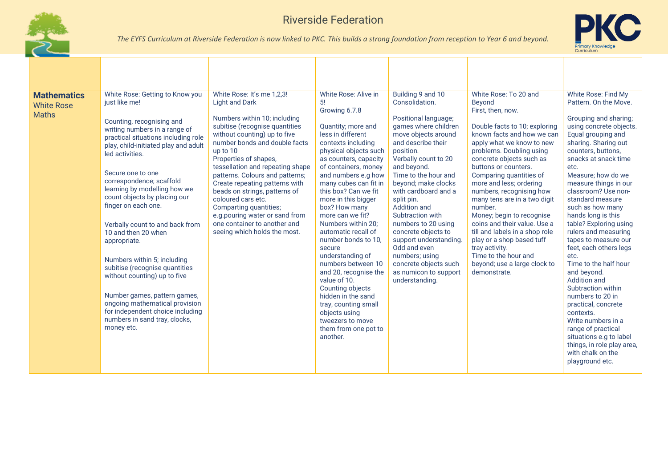



| <b>Mathematics</b><br><b>White Rose</b><br><b>Maths</b> | White Rose: Getting to Know you<br>just like me!<br>Counting, recognising and<br>writing numbers in a range of<br>practical situations including role<br>play, child-initiated play and adult<br>led activities.<br>Secure one to one<br>correspondence; scaffold<br>learning by modelling how we<br>count objects by placing our<br>finger on each one.<br>Verbally count to and back from<br>10 and then 20 when<br>appropriate.<br>Numbers within 5; including<br>subitise (recognise quantities<br>without counting) up to five<br>Number games, pattern games,<br>ongoing mathematical provision<br>for independent choice including<br>numbers in sand tray, clocks,<br>money etc. | White Rose: It's me 1,2,3!<br><b>Light and Dark</b><br>Numbers within 10; including<br>subitise (recognise quantities<br>without counting) up to five<br>number bonds and double facts<br>up to 10<br>Properties of shapes,<br>tessellation and repeating shape<br>patterns. Colours and patterns;<br>Create repeating patterns with<br>beads on strings, patterns of<br>coloured cars etc.<br>Comparting quantities;<br>e.g.pouring water or sand from<br>one container to another and<br>seeing which holds the most. | White Rose: Alive in<br>-5!<br>Growing 6.7.8<br>Quantity; more and<br>less in different<br>contexts including<br>physical objects such<br>as counters, capacity<br>of containers, money<br>and numbers e.g how<br>many cubes can fit in<br>this box? Can we fit<br>more in this bigger<br>box? How many<br>more can we fit?<br>Numbers within 20:<br>automatic recall of<br>number bonds to 10.<br>secure<br>understanding of<br>numbers between 10<br>and 20, recognise the<br>value of 10.<br>Counting objects<br>hidden in the sand<br>tray, counting small<br>objects using<br>tweezers to move<br>them from one pot to<br>another. | Building 9 and 10<br>Consolidation.<br>Positional language;<br>games where children<br>move objects around<br>and describe their<br>position.<br>Verbally count to 20<br>and beyond.<br>Time to the hour and<br>beyond; make clocks<br>with cardboard and a<br>split pin.<br>Addition and<br>Subtraction with<br>numbers to 20 using<br>concrete objects to<br>support understanding.<br>Odd and even<br>numbers; using<br>concrete objects such<br>as numicon to support<br>understanding. | White Rose: To 20 and<br>Beyond<br>First, then, now.<br>Double facts to 10; exploring<br>known facts and how we can<br>apply what we know to new<br>problems. Doubling using<br>concrete objects such as<br>buttons or counters.<br>Comparing quantities of<br>more and less; ordering<br>numbers, recognising how<br>many tens are in a two digit<br>number.<br>Money; begin to recognise<br>coins and their value. Use a<br>till and labels in a shop role<br>play or a shop based tuff<br>tray activity.<br>Time to the hour and<br>beyond; use a large clock to<br>demonstrate. | White Rose: Find My<br>Pattern, On the Move.<br>Grouping and sharing;<br>using concrete objects.<br>Equal grouping and<br>sharing. Sharing out<br>counters, buttons,<br>snacks at snack time<br>etc.<br>Measure; how do we<br>measure things in our<br>classroom? Use non-<br>standard measure<br>such as how many<br>hands long is this<br>table? Exploring using<br>rulers and measuring<br>tapes to measure our<br>feet, each others legs<br>etc.<br>Time to the half hour<br>and beyond.<br><b>Addition and</b><br>Subtraction within<br>numbers to 20 in<br>practical, concrete<br>contexts.<br>Write numbers in a<br>range of practical<br>situations e.g to label<br>things, in role play area,<br>with chalk on the<br>playground etc. |
|---------------------------------------------------------|------------------------------------------------------------------------------------------------------------------------------------------------------------------------------------------------------------------------------------------------------------------------------------------------------------------------------------------------------------------------------------------------------------------------------------------------------------------------------------------------------------------------------------------------------------------------------------------------------------------------------------------------------------------------------------------|-------------------------------------------------------------------------------------------------------------------------------------------------------------------------------------------------------------------------------------------------------------------------------------------------------------------------------------------------------------------------------------------------------------------------------------------------------------------------------------------------------------------------|-----------------------------------------------------------------------------------------------------------------------------------------------------------------------------------------------------------------------------------------------------------------------------------------------------------------------------------------------------------------------------------------------------------------------------------------------------------------------------------------------------------------------------------------------------------------------------------------------------------------------------------------|---------------------------------------------------------------------------------------------------------------------------------------------------------------------------------------------------------------------------------------------------------------------------------------------------------------------------------------------------------------------------------------------------------------------------------------------------------------------------------------------|-------------------------------------------------------------------------------------------------------------------------------------------------------------------------------------------------------------------------------------------------------------------------------------------------------------------------------------------------------------------------------------------------------------------------------------------------------------------------------------------------------------------------------------------------------------------------------------|------------------------------------------------------------------------------------------------------------------------------------------------------------------------------------------------------------------------------------------------------------------------------------------------------------------------------------------------------------------------------------------------------------------------------------------------------------------------------------------------------------------------------------------------------------------------------------------------------------------------------------------------------------------------------------------------------------------------------------------------|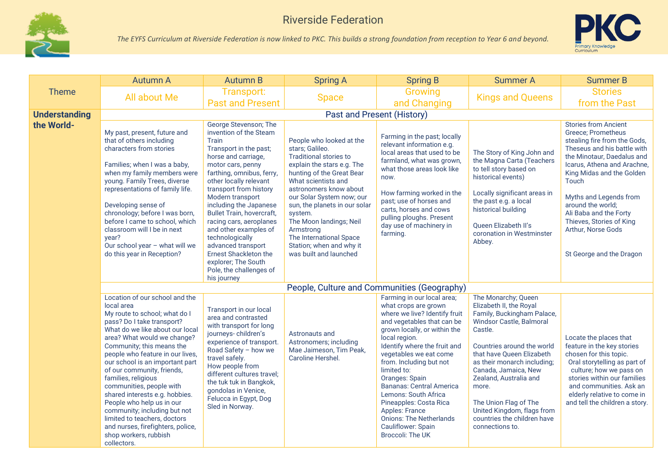



|                      | <b>Autumn A</b>                                                                                                                                                                                                                                                                                                                                                                                                                                                                                                                                                                | <b>Autumn B</b>                                                                                                                                                                                                                                                                                                                                                                                                                                                                                 | <b>Spring A</b>                                                                                                                                                                                                                                                                                                                                                                     | <b>Spring B</b>                                                                                                                                                                                                                                                                                                                                                                                                                                                                           | <b>Summer A</b>                                                                                                                                                                                                                                                                                                                                                                   | <b>Summer B</b>                                                                                                                                                                                                                                                                                                                                                            |
|----------------------|--------------------------------------------------------------------------------------------------------------------------------------------------------------------------------------------------------------------------------------------------------------------------------------------------------------------------------------------------------------------------------------------------------------------------------------------------------------------------------------------------------------------------------------------------------------------------------|-------------------------------------------------------------------------------------------------------------------------------------------------------------------------------------------------------------------------------------------------------------------------------------------------------------------------------------------------------------------------------------------------------------------------------------------------------------------------------------------------|-------------------------------------------------------------------------------------------------------------------------------------------------------------------------------------------------------------------------------------------------------------------------------------------------------------------------------------------------------------------------------------|-------------------------------------------------------------------------------------------------------------------------------------------------------------------------------------------------------------------------------------------------------------------------------------------------------------------------------------------------------------------------------------------------------------------------------------------------------------------------------------------|-----------------------------------------------------------------------------------------------------------------------------------------------------------------------------------------------------------------------------------------------------------------------------------------------------------------------------------------------------------------------------------|----------------------------------------------------------------------------------------------------------------------------------------------------------------------------------------------------------------------------------------------------------------------------------------------------------------------------------------------------------------------------|
| <b>Theme</b>         | All about Me                                                                                                                                                                                                                                                                                                                                                                                                                                                                                                                                                                   | Transport:<br><b>Past and Present</b>                                                                                                                                                                                                                                                                                                                                                                                                                                                           | <b>Space</b>                                                                                                                                                                                                                                                                                                                                                                        | Growing<br>and Changing                                                                                                                                                                                                                                                                                                                                                                                                                                                                   | <b>Kings and Queens</b>                                                                                                                                                                                                                                                                                                                                                           | <b>Stories</b><br>from the Past                                                                                                                                                                                                                                                                                                                                            |
| <b>Understanding</b> |                                                                                                                                                                                                                                                                                                                                                                                                                                                                                                                                                                                |                                                                                                                                                                                                                                                                                                                                                                                                                                                                                                 | Past and Present (History)                                                                                                                                                                                                                                                                                                                                                          |                                                                                                                                                                                                                                                                                                                                                                                                                                                                                           |                                                                                                                                                                                                                                                                                                                                                                                   |                                                                                                                                                                                                                                                                                                                                                                            |
| the World-           | My past, present, future and<br>that of others including<br>characters from stories<br>Families; when I was a baby,<br>when my family members were<br>young. Family Trees, diverse<br>representations of family life.<br>Developing sense of<br>chronology; before I was born,<br>before I came to school, which<br>classroom will I be in next<br>year?<br>Our school year - what will we<br>do this year in Reception?                                                                                                                                                       | George Stevenson; The<br>invention of the Steam<br>Train<br>Transport in the past;<br>horse and carriage,<br>motor cars, penny<br>farthing, omnibus, ferry,<br>other locally relevant<br>transport from history<br>Modern transport<br>including the Japanese<br><b>Bullet Train, hovercraft,</b><br>racing cars, aeroplanes<br>and other examples of<br>technologically<br>advanced transport<br><b>Ernest Shackleton the</b><br>explorer; The South<br>Pole, the challenges of<br>his journey | People who looked at the<br>stars; Galileo.<br>Traditional stories to<br>explain the stars e.g. The<br>hunting of the Great Bear<br>What scientists and<br>astronomers know about<br>our Solar System now; our<br>sun, the planets in our solar<br>system.<br>The Moon landings; Neil<br>Armstrong<br>The International Space<br>Station; when and why it<br>was built and launched | Farming in the past; locally<br>relevant information e.g.<br>local areas that used to be<br>farmland, what was grown,<br>what those areas look like<br>now.<br>How farming worked in the<br>past; use of horses and<br>carts, horses and cows<br>pulling ploughs. Present<br>day use of machinery in<br>farming.                                                                                                                                                                          | The Story of King John and<br>the Magna Carta (Teachers<br>to tell story based on<br>historical events)<br>Locally significant areas in<br>the past e.g. a local<br>historical building<br>Queen Elizabeth II's<br>coronation in Westminster<br>Abbey.                                                                                                                            | <b>Stories from Ancient</b><br>Greece; Prometheus<br>stealing fire from the Gods,<br>Theseus and his battle with<br>the Minotaur, Daedalus and<br>Icarus, Athena and Arachne,<br>King Midas and the Golden<br>Touch<br>Myths and Legends from<br>around the world;<br>Ali Baba and the Forty<br>Thieves, Stories of King<br>Arthur, Norse Gods<br>St George and the Dragon |
|                      |                                                                                                                                                                                                                                                                                                                                                                                                                                                                                                                                                                                |                                                                                                                                                                                                                                                                                                                                                                                                                                                                                                 | People, Culture and Communities (Geography)                                                                                                                                                                                                                                                                                                                                         |                                                                                                                                                                                                                                                                                                                                                                                                                                                                                           |                                                                                                                                                                                                                                                                                                                                                                                   |                                                                                                                                                                                                                                                                                                                                                                            |
|                      | Location of our school and the<br>local area<br>My route to school; what do I<br>pass? Do I take transport?<br>What do we like about our local<br>area? What would we change?<br>Community; this means the<br>people who feature in our lives,<br>our school is an important part<br>of our community, friends,<br>families, religious<br>communities, people with<br>shared interests e.g. hobbies.<br>People who help us in our<br>community; including but not<br>limited to teachers, doctors<br>and nurses, firefighters, police,<br>shop workers, rubbish<br>collectors. | Transport in our local<br>area and contrasted<br>with transport for long<br>journeys-children's<br>experience of transport.<br>Road Safety - how we<br>travel safely.<br>How people from<br>different cultures travel;<br>the tuk tuk in Bangkok,<br>gondolas in Venice,<br>Felucca in Egypt, Dog<br>Sled in Norway.                                                                                                                                                                            | Astronauts and<br>Astronomers; including<br>Mae Jaimeson, Tim Peak,<br>Caroline Hershel.                                                                                                                                                                                                                                                                                            | Farming in our local area;<br>what crops are grown<br>where we live? Identify fruit<br>and vegetables that can be<br>grown locally, or within the<br>local region.<br>Identify where the fruit and<br>vegetables we eat come<br>from. Including but not<br>limited to:<br>Oranges: Spain<br><b>Bananas: Central America</b><br>Lemons: South Africa<br>Pineapples: Costa Rica<br><b>Apples: France</b><br><b>Onions: The Netherlands</b><br>Cauliflower: Spain<br><b>Broccoli: The UK</b> | The Monarchy; Queen<br>Elizabeth II, the Royal<br>Family, Buckingham Palace,<br>Windsor Castle, Balmoral<br>Castle.<br>Countries around the world<br>that have Queen Elizabeth<br>as their monarch including;<br>Canada, Jamaica, New<br>Zealand, Australia and<br>more.<br>The Union Flag of The<br>United Kingdom, flags from<br>countries the children have<br>connections to. | Locate the places that<br>feature in the key stories<br>chosen for this topic.<br>Oral storytelling as part of<br>culture; how we pass on<br>stories within our families<br>and communities. Ask an<br>elderly relative to come in<br>and tell the children a story.                                                                                                       |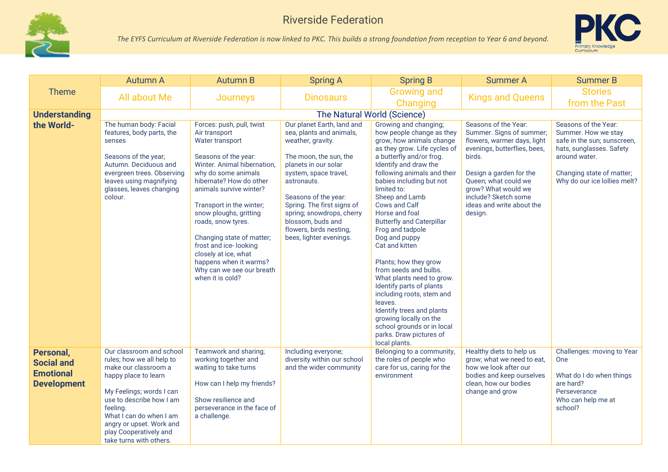



|                                                                          | <b>Autumn A</b>                                                                                                                                                                                                                                                                       | <b>Autumn B</b>                                                                                                                                                                                                                                                                                                                                                                                                                        | <b>Spring A</b>                                                                                                                                                                                                                                                                                                                     | <b>Spring B</b>                                                                                                                                                                                                                                                                                                                                                                                                                                                                                                                                                                                                                                                                   | <b>Summer A</b>                                                                                                                                                                                                                                                     | <b>Summer B</b>                                                                                                                                                                      |  |  |  |
|--------------------------------------------------------------------------|---------------------------------------------------------------------------------------------------------------------------------------------------------------------------------------------------------------------------------------------------------------------------------------|----------------------------------------------------------------------------------------------------------------------------------------------------------------------------------------------------------------------------------------------------------------------------------------------------------------------------------------------------------------------------------------------------------------------------------------|-------------------------------------------------------------------------------------------------------------------------------------------------------------------------------------------------------------------------------------------------------------------------------------------------------------------------------------|-----------------------------------------------------------------------------------------------------------------------------------------------------------------------------------------------------------------------------------------------------------------------------------------------------------------------------------------------------------------------------------------------------------------------------------------------------------------------------------------------------------------------------------------------------------------------------------------------------------------------------------------------------------------------------------|---------------------------------------------------------------------------------------------------------------------------------------------------------------------------------------------------------------------------------------------------------------------|--------------------------------------------------------------------------------------------------------------------------------------------------------------------------------------|--|--|--|
| Theme                                                                    | <b>All about Me</b>                                                                                                                                                                                                                                                                   | <b>Journeys</b>                                                                                                                                                                                                                                                                                                                                                                                                                        | <b>Dinosaurs</b>                                                                                                                                                                                                                                                                                                                    | <b>Growing and</b><br>Changing                                                                                                                                                                                                                                                                                                                                                                                                                                                                                                                                                                                                                                                    | <b>Kings and Queens</b>                                                                                                                                                                                                                                             | <b>Stories</b><br>from the Past                                                                                                                                                      |  |  |  |
| <b>Understanding</b>                                                     |                                                                                                                                                                                                                                                                                       | The Natural World (Science)                                                                                                                                                                                                                                                                                                                                                                                                            |                                                                                                                                                                                                                                                                                                                                     |                                                                                                                                                                                                                                                                                                                                                                                                                                                                                                                                                                                                                                                                                   |                                                                                                                                                                                                                                                                     |                                                                                                                                                                                      |  |  |  |
| the World-                                                               | The human body: Facial<br>features, body parts, the<br>senses<br>Seasons of the year;<br>Autumn. Deciduous and<br>evergreen trees. Observing<br>leaves using magnifying<br>glasses, leaves changing<br>colour.                                                                        | Forces: push, pull, twist<br>Air transport<br>Water transport<br>Seasons of the year:<br>Winter. Animal hibernation,<br>why do some animals<br>hibernate? How do other<br>animals survive winter?<br>Transport in the winter;<br>snow ploughs, gritting<br>roads, snow tyres.<br>Changing state of matter;<br>frost and ice-looking<br>closely at ice, what<br>happens when it warms?<br>Why can we see our breath<br>when it is cold? | Our planet Earth, land and<br>sea, plants and animals,<br>weather, gravity.<br>The moon, the sun, the<br>planets in our solar<br>system, space travel,<br>astronauts.<br>Seasons of the year:<br>Spring. The first signs of<br>spring; snowdrops, cherry<br>blossom, buds and<br>flowers, birds nesting,<br>bees, lighter evenings. | Growing and changing;<br>how people change as they<br>grow, how animals change<br>as they grow. Life cycles of<br>a butterfly and/or frog.<br>Identify and draw the<br>following animals and their<br>babies including but not<br>limited to:<br>Sheep and Lamb<br>Cows and Calf<br>Horse and foal<br><b>Butterfly and Caterpillar</b><br>Frog and tadpole<br>Dog and puppy<br>Cat and kitten<br>Plants; how they grow<br>from seeds and bulbs.<br>What plants need to grow.<br>Identify parts of plants<br>including roots, stem and<br>leaves.<br>Identify trees and plants<br>growing locally on the<br>school grounds or in local<br>parks. Draw pictures of<br>local plants. | Seasons of the Year:<br>Summer. Signs of summer;<br>flowers, warmer days, light<br>evenings, butterflies, bees,<br>birds.<br>Design a garden for the<br>Queen; what could we<br>grow? What would we<br>include? Sketch some<br>ideas and write about the<br>design. | Seasons of the Year:<br>Summer. How we stay<br>safe in the sun; sunscreen,<br>hats, sunglasses. Safety<br>around water.<br>Changing state of matter;<br>Why do our ice lollies melt? |  |  |  |
| Personal,<br><b>Social and</b><br><b>Emotional</b><br><b>Development</b> | Our classroom and school<br>rules; how we all help to<br>make our classroom a<br>happy place to learn<br>My Feelings; words I can<br>use to describe how I am<br>feeling.<br>What I can do when I am<br>angry or upset. Work and<br>play Cooperatively and<br>take turns with others. | Teamwork and sharing;<br>working together and<br>waiting to take turns<br>How can I help my friends?<br>Show resilience and<br>perseverance in the face of<br>a challenge.                                                                                                                                                                                                                                                             | Including everyone;<br>diversity within our school<br>and the wider community                                                                                                                                                                                                                                                       | Belonging to a community,<br>the roles of people who<br>care for us, caring for the<br>environment                                                                                                                                                                                                                                                                                                                                                                                                                                                                                                                                                                                | Healthy diets to help us<br>grow: what we need to eat.<br>how we look after our<br>bodies and keep ourselves<br>clean, how our bodies<br>change and grow                                                                                                            | Challenges: moving to Year<br>One<br>What do I do when things<br>are hard?<br>Perseverance<br>Who can help me at<br>school?                                                          |  |  |  |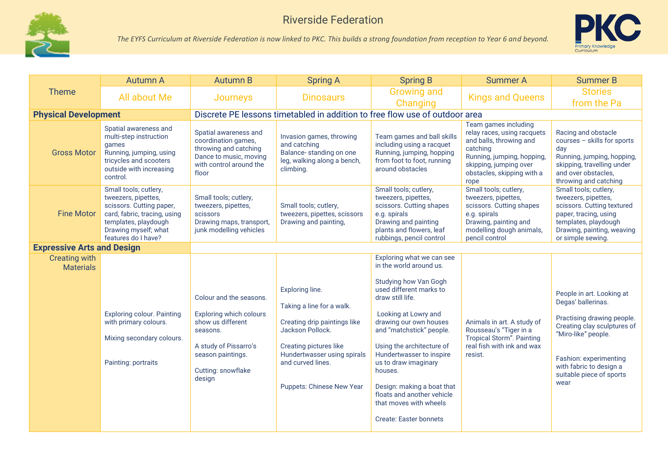



|                                          | <b>Autumn A</b>                                                                                                                                                                 | <b>Autumn B</b>                                                                                                                                                          | <b>Spring A</b>                                                                                                                                                                                                    | <b>Spring B</b>                                                                                                                                                                                                                                                                                                                                                                                                               | <b>Summer A</b>                                                                                                                                                                          | <b>Summer B</b>                                                                                                                                                                                                              |  |  |
|------------------------------------------|---------------------------------------------------------------------------------------------------------------------------------------------------------------------------------|--------------------------------------------------------------------------------------------------------------------------------------------------------------------------|--------------------------------------------------------------------------------------------------------------------------------------------------------------------------------------------------------------------|-------------------------------------------------------------------------------------------------------------------------------------------------------------------------------------------------------------------------------------------------------------------------------------------------------------------------------------------------------------------------------------------------------------------------------|------------------------------------------------------------------------------------------------------------------------------------------------------------------------------------------|------------------------------------------------------------------------------------------------------------------------------------------------------------------------------------------------------------------------------|--|--|
| <b>Theme</b>                             | All about Me                                                                                                                                                                    | <b>Journeys</b>                                                                                                                                                          | <b>Dinosaurs</b>                                                                                                                                                                                                   | <b>Growing and</b><br>Changing                                                                                                                                                                                                                                                                                                                                                                                                | <b>Kings and Queens</b>                                                                                                                                                                  | <b>Stories</b><br>from the Pa                                                                                                                                                                                                |  |  |
| <b>Physical Development</b>              |                                                                                                                                                                                 | Discrete PE lessons timetabled in addition to free flow use of outdoor area                                                                                              |                                                                                                                                                                                                                    |                                                                                                                                                                                                                                                                                                                                                                                                                               |                                                                                                                                                                                          |                                                                                                                                                                                                                              |  |  |
| <b>Gross Motor</b>                       | Spatial awareness and<br>multi-step instruction<br>games<br>Running, jumping, using<br>tricycles and scooters<br>outside with increasing<br>control.                            | Spatial awareness and<br>coordination games,<br>throwing and catching<br>Dance to music, moving<br>with control around the<br>floor                                      | Invasion games, throwing<br>and catching<br>Balance-standing on one<br>leg, walking along a bench,<br>climbing.                                                                                                    | Team games and ball skills<br>including using a racquet<br>Running, jumping, hopping<br>from foot to foot, running<br>around obstacles                                                                                                                                                                                                                                                                                        | Team games including<br>relay races, using racquets<br>and balls, throwing and<br>catching<br>Running, jumping, hopping,<br>skipping, jumping over<br>obstacles, skipping with a<br>rope | Racing and obstacle<br>courses - skills for sports<br>day<br>Running, jumping, hopping,<br>skipping, travelling under<br>and over obstacles,<br>throwing and catching                                                        |  |  |
| <b>Fine Motor</b>                        | Small tools; cutlery,<br>tweezers, pipettes,<br>scissors. Cutting paper,<br>card, fabric, tracing, using<br>templates, playdough<br>Drawing myself; what<br>features do I have? | Small tools; cutlery,<br>tweezers, pipettes,<br>scissors<br>Drawing maps, transport,<br>junk modelling vehicles                                                          | Small tools; cutlery,<br>tweezers, pipettes, scissors<br>Drawing and painting,                                                                                                                                     | Small tools; cutlery,<br>tweezers, pipettes,<br>scissors. Cutting shapes<br>e.g. spirals<br>Drawing and painting<br>plants and flowers, leaf<br>rubbings, pencil control                                                                                                                                                                                                                                                      | Small tools; cutlery,<br>tweezers, pipettes,<br>scissors. Cutting shapes<br>e.g. spirals<br>Drawing, painting and<br>modelling dough animals,<br>pencil control                          | Small tools; cutlery,<br>tweezers, pipettes,<br>scissors. Cutting textured<br>paper, tracing, using<br>templates, playdough<br>Drawing, painting, weaving<br>or simple sewing.                                               |  |  |
| <b>Expressive Arts and Design</b>        |                                                                                                                                                                                 |                                                                                                                                                                          |                                                                                                                                                                                                                    |                                                                                                                                                                                                                                                                                                                                                                                                                               |                                                                                                                                                                                          |                                                                                                                                                                                                                              |  |  |
| <b>Creating with</b><br><b>Materials</b> | <b>Exploring colour. Painting</b><br>with primary colours.<br>Mixing secondary colours.<br>Painting: portraits                                                                  | Colour and the seasons.<br><b>Exploring which colours</b><br>show us different<br>seasons.<br>A study of Pissarro's<br>season paintings.<br>Cutting: snowflake<br>design | Exploring line.<br>Taking a line for a walk.<br>Creating drip paintings like<br>Jackson Pollock.<br>Creating pictures like<br>Hundertwasser using spirals<br>and curved lines.<br><b>Puppets: Chinese New Year</b> | Exploring what we can see<br>in the world around us.<br>Studying how Van Gogh<br>used different marks to<br>draw still life.<br>Looking at Lowry and<br>drawing our own houses<br>and "matchstick" people.<br>Using the architecture of<br>Hundertwasser to inspire<br>us to draw imaginary<br>houses.<br>Design: making a boat that<br>floats and another vehicle<br>that moves with wheels<br><b>Create: Easter bonnets</b> | Animals in art. A study of<br>Rousseau's "Tiger in a<br><b>Tropical Storm". Painting</b><br>real fish with ink and wax<br>resist.                                                        | People in art. Looking at<br>Degas' ballerinas.<br>Practising drawing people.<br>Creating clay sculptures of<br>"Miro-like" people.<br>Fashion: experimenting<br>with fabric to design a<br>suitable piece of sports<br>wear |  |  |